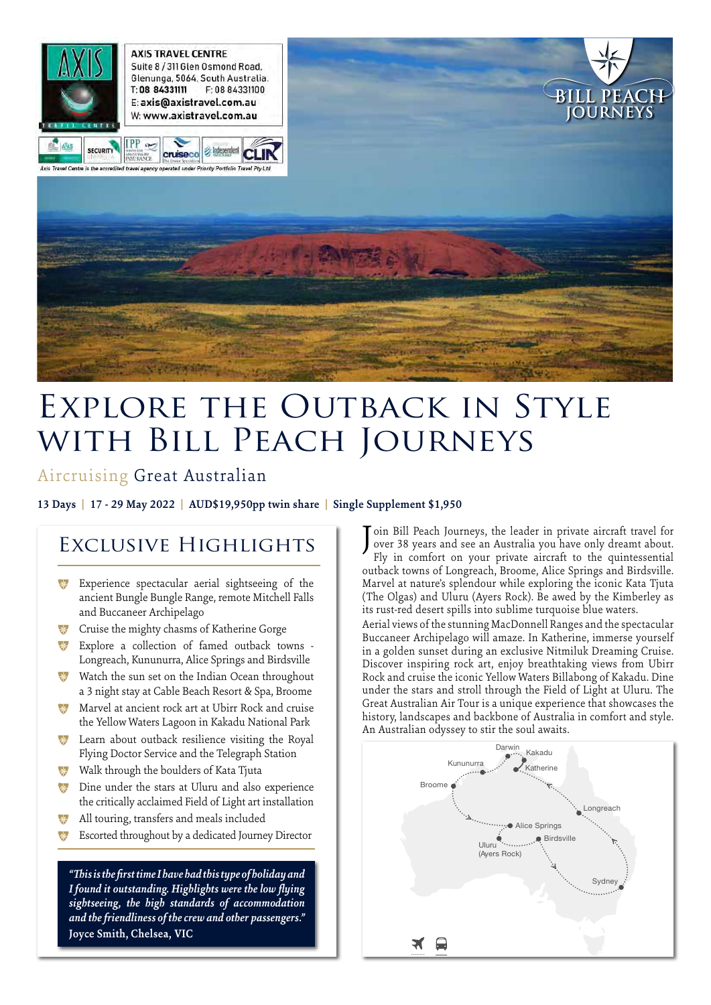

# Explore the Outback in Style with Bill Peach Journeys

# Aircruising Great Australian

**13 Days | 17 - 29 May 2022 | AUD\$19,950pp twin share | Single Supplement \$1,950**

# Exclusive Highlights

- \* Experience spectacular aerial sightseeing of the ancient Bungle Bungle Range, remote Mitchell Falls and Buccaneer Archipelago
- \*\* Cruise the mighty chasms of Katherine Gorge
- \* Explore a collection of famed outback towns -Longreach, Kununurra, Alice Springs and Birdsville
- Watch the sun set on the Indian Ocean throughout a 3 night stay at Cable Beach Resort & Spa, Broome
- \* Marvel at ancient rock art at Ubirr Rock and cruise the Yellow Waters Lagoon in Kakadu National Park
- $\ddot{\mathbf{v}}$  Learn about outback resilience visiting the Royal Flying Doctor Service and the Telegraph Station
- **\*** Walk through the boulders of Kata Tjuta
- **\*\*** Dine under the stars at Uluru and also experience the critically acclaimed Field of Light art installation
- <sup>\*</sup> All touring, transfers and meals included
- Escorted throughout by a dedicated Journey Director

*"This is the first time I have had this type of holiday and I found it outstanding. Highlights were the low flying sightseeing, the high standards of accommodation and the friendliness of the crew and other passengers."* **Joyce Smith, Chelsea, VIC** 

Join Bill Peach Journeys, the leader in private aircraft travel for over 38 years and see an Australia you have only dreamt about. over 38 years and see an Australia you have only dreamt about. Fly in comfort on your private aircraft to the quintessential outback towns of Longreach, Broome, Alice Springs and Birdsville. Marvel at nature's splendour while exploring the iconic Kata Tjuta (The Olgas) and Uluru (Ayers Rock). Be awed by the Kimberley as its rust-red desert spills into sublime turquoise blue waters.

Aerial views of the stunning MacDonnell Ranges and the spectacular Buccaneer Archipelago will amaze. In Katherine, immerse yourself in a golden sunset during an exclusive Nitmiluk Dreaming Cruise. Discover inspiring rock art, enjoy breathtaking views from Ubirr Rock and cruise the iconic Yellow Waters Billabong of Kakadu. Dine under the stars and stroll through the Field of Light at Uluru. The Great Australian Air Tour is a unique experience that showcases the history, landscapes and backbone of Australia in comfort and style. An Australian odyssey to stir the soul awaits.

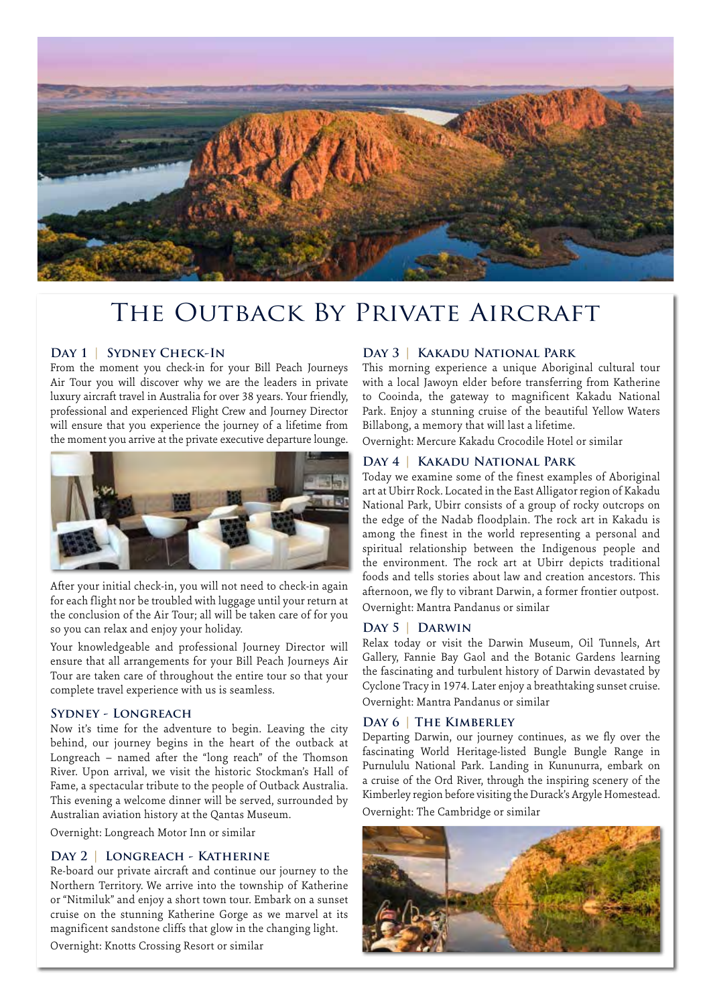

# THE OUTBACK BY PRIVATE AIRCRAFT

#### **Day 1** | **Sydney Check-In**

From the moment you check-in for your Bill Peach Journeys Air Tour you will discover why we are the leaders in private luxury aircraft travel in Australia for over 38 years. Your friendly, professional and experienced Flight Crew and Journey Director will ensure that you experience the journey of a lifetime from the moment you arrive at the private executive departure lounge.



After your initial check-in, you will not need to check-in again for each flight nor be troubled with luggage until your return at the conclusion of the Air Tour; all will be taken care of for you so you can relax and enjoy your holiday.

Your knowledgeable and professional Journey Director will ensure that all arrangements for your Bill Peach Journeys Air Tour are taken care of throughout the entire tour so that your complete travel experience with us is seamless.

#### **Sydney - Longreach**

Now it's time for the adventure to begin. Leaving the city behind, our journey begins in the heart of the outback at Longreach – named after the "long reach" of the Thomson River. Upon arrival, we visit the historic Stockman's Hall of Fame, a spectacular tribute to the people of Outback Australia. This evening a welcome dinner will be served, surrounded by Australian aviation history at the Qantas Museum.

Overnight: Longreach Motor Inn or similar

#### **Day 2 | Longreach - Katherine**

Re-board our private aircraft and continue our journey to the Northern Territory. We arrive into the township of Katherine or "Nitmiluk" and enjoy a short town tour. Embark on a sunset cruise on the stunning Katherine Gorge as we marvel at its magnificent sandstone cliffs that glow in the changing light.

Overnight: Knotts Crossing Resort or similar

#### **Day 3 | Kakadu National Park**

This morning experience a unique Aboriginal cultural tour with a local Jawoyn elder before transferring from Katherine to Cooinda, the gateway to magnificent Kakadu National Park. Enjoy a stunning cruise of the beautiful Yellow Waters Billabong, a memory that will last a lifetime.

Overnight: Mercure Kakadu Crocodile Hotel or similar

#### **Day 4 | Kakadu National Park**

Today we examine some of the finest examples of Aboriginal art at Ubirr Rock. Located in the East Alligator region of Kakadu National Park, Ubirr consists of a group of rocky outcrops on the edge of the Nadab floodplain. The rock art in Kakadu is among the finest in the world representing a personal and spiritual relationship between the Indigenous people and the environment. The rock art at Ubirr depicts traditional foods and tells stories about law and creation ancestors. This afternoon, we fly to vibrant Darwin, a former frontier outpost. Overnight: Mantra Pandanus or similar

#### **Day 5 | Darwin**

Relax today or visit the Darwin Museum, Oil Tunnels, Art Gallery, Fannie Bay Gaol and the Botanic Gardens learning the fascinating and turbulent history of Darwin devastated by Cyclone Tracy in 1974. Later enjoy a breathtaking sunset cruise. Overnight: Mantra Pandanus or similar

#### **Day 6 | The Kimberley**

Departing Darwin, our journey continues, as we fly over the fascinating World Heritage-listed Bungle Bungle Range in Purnululu National Park. Landing in Kununurra, embark on a cruise of the Ord River, through the inspiring scenery of the Kimberley region before visiting the Durack's Argyle Homestead. Overnight: The Cambridge or similar

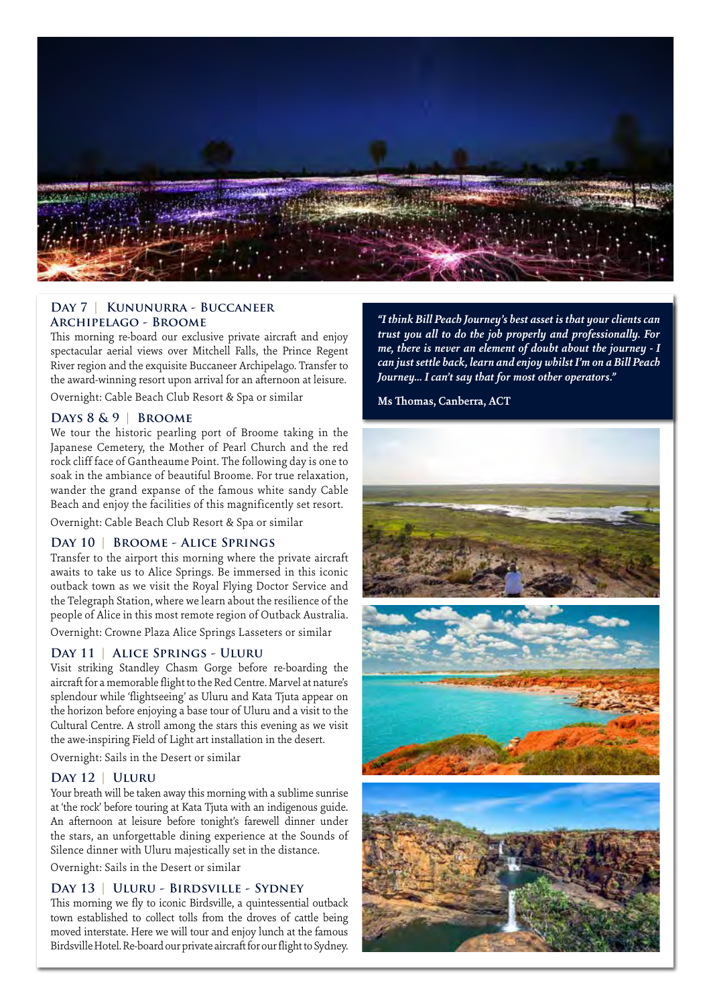

#### **Day 7 | Kununurra - Buccaneer Archipelago - Broome**

This morning re-board our exclusive private aircraft and enjoy spectacular aerial views over Mitchell Falls, the Prince Regent River region and the exquisite Buccaneer Archipelago. Transfer to the award-winning resort upon arrival for an afternoon at leisure.

Overnight: Cable Beach Club Resort & Spa or similar

#### **Days 8 & 9 | Broome**

We tour the historic pearling port of Broome taking in the Japanese Cemetery, the Mother of Pearl Church and the red rock cliff face of Gantheaume Point. The following day is one to soak in the ambiance of beautiful Broome. For true relaxation, wander the grand expanse of the famous white sandy Cable Beach and enjoy the facilities of this magnificently set resort.

Overnight: Cable Beach Club Resort & Spa or similar

#### **Day 10 | Broome - Alice Springs**

Transfer to the airport this morning where the private aircraft awaits to take us to Alice Springs. Be immersed in this iconic outback town as we visit the Royal Flying Doctor Service and the Telegraph Station, where we learn about the resilience of the people of Alice in this most remote region of Outback Australia.

Overnight: Crowne Plaza Alice Springs Lasseters or similar

#### **Day 11 | Alice Springs - Uluru**

Visit striking Standley Chasm Gorge before re-boarding the aircraft for a memorable flight to the Red Centre. Marvel at nature's splendour while 'flightseeing' as Uluru and Kata Tjuta appear on the horizon before enjoying a base tour of Uluru and a visit to the Cultural Centre. A stroll among the stars this evening as we visit the awe-inspiring Field of Light art installation in the desert.

Overnight: Sails in the Desert or similar

#### **Day 12 | Uluru**

Your breath will be taken away this morning with a sublime sunrise at 'the rock' before touring at Kata Tjuta with an indigenous guide. An afternoon at leisure before tonight's farewell dinner under the stars, an unforgettable dining experience at the Sounds of Silence dinner with Uluru majestically set in the distance.

Overnight: Sails in the Desert or similar

#### **Day 13 | Uluru - Birdsville - Sydney**

This morning we fly to iconic Birdsville, a quintessential outback town established to collect tolls from the droves of cattle being moved interstate. Here we will tour and enjoy lunch at the famous Birdsville Hotel. Re-board our private aircraft for our flight to Sydney.

"I think Bill Peach Journey's best asset is that your clients can *trust you all to do the job properly and professionally. For me, there is never an element of doubt about the journey - I can just settle back, learn and enjoy whilst I'm on a Bill Peach Journey... I can't say that for most other operators."*

**Ms Thomas, Canberra, ACT**